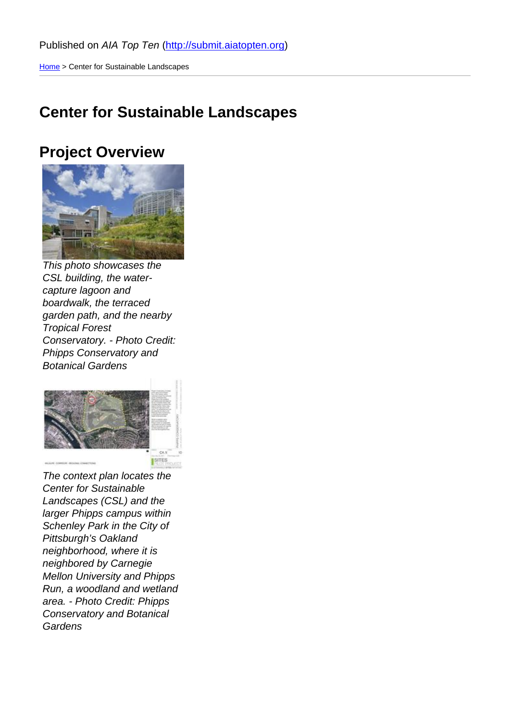Home > Center for Sustainable Landscapes

## [Cen](http://submit.aiatopten.org/)ter for Sustainable Landscapes

### Project Overview

This photo showcases the CSL building, the watercapture lagoon and boardwalk, the terraced garden path, and the nearby Tropical Forest Conservatory. - Photo Credit: Phipps Conservatory and Botanical Gardens

The context plan locates the Center for Sustainable Landscapes (CSL) and the larger Phipps campus within Schenley Park in the City of Pittsburgh's Oakland neighborhood, where it is neighbored by Carnegie Mellon University and Phipps Run, a woodland and wetland area. - Photo Credit: Phipps Conservatory and Botanical **Gardens**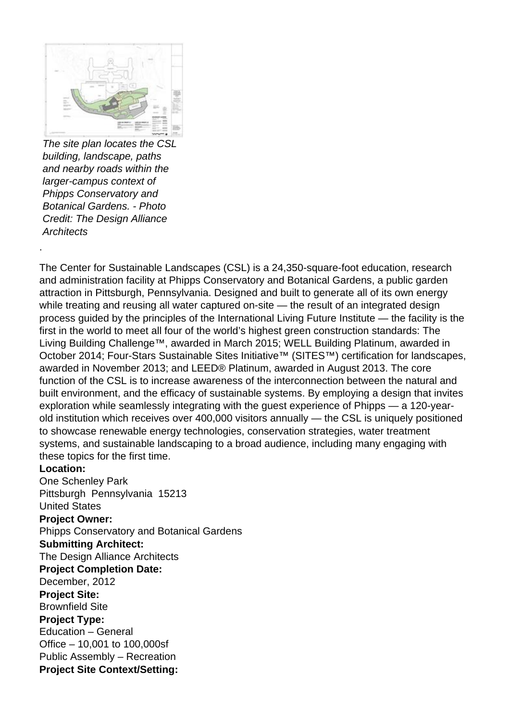

The site plan locates the CSL building, landscape, paths and nearby roads within the larger-campus context of Phipps Conservatory and Botanical Gardens. - Photo Credit: The Design Alliance **Architects** 

The Center for Sustainable Landscapes (CSL) is a 24,350-square-foot education, research and administration facility at Phipps Conservatory and Botanical Gardens, a public garden attraction in Pittsburgh, Pennsylvania. Designed and built to generate all of its own energy while treating and reusing all water captured on-site - the result of an integrated design process guided by the principles of the International Living Future Institute — the facility is the first in the world to meet all four of the world's highest green construction standards: The Living Building Challenge™, awarded in March 2015; WELL Building Platinum, awarded in October 2014; Four-Stars Sustainable Sites Initiative™ (SITES™) certification for landscapes, awarded in November 2013; and LEED® Platinum, awarded in August 2013. The core function of the CSL is to increase awareness of the interconnection between the natural and built environment, and the efficacy of sustainable systems. By employing a design that invites exploration while seamlessly integrating with the guest experience of Phipps — a 120-yearold institution which receives over 400,000 visitors annually — the CSL is uniquely positioned to showcase renewable energy technologies, conservation strategies, water treatment systems, and sustainable landscaping to a broad audience, including many engaging with these topics for the first time.

#### **Location:**

.

One Schenley Park Pittsburgh Pennsylvania 15213 United States

#### **Project Owner:**

Phipps Conservatory and Botanical Gardens **Submitting Architect:**  The Design Alliance Architects **Project Completion Date:**  December, 2012 **Project Site:**  Brownfield Site **Project Type:**  Education – General Office – 10,001 to 100,000sf Public Assembly – Recreation **Project Site Context/Setting:**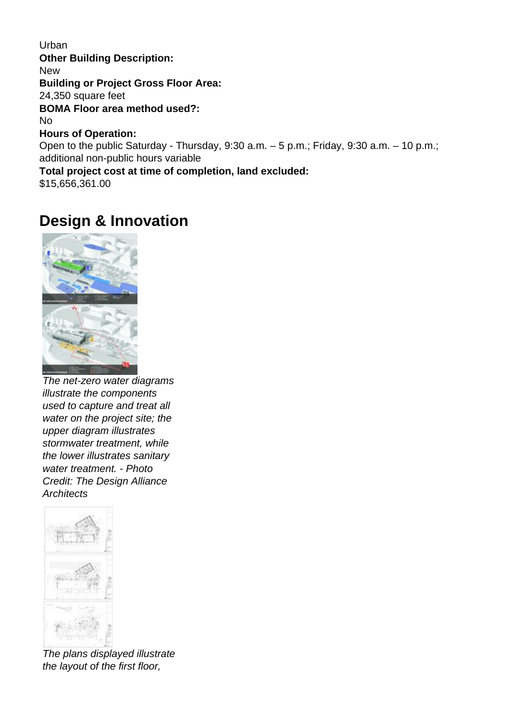**Urban Other Building Description: New Building or Project Gross Floor Area:**  24,350 square feet **BOMA Floor area method used?:**  No **Hours of Operation:**  Open to the public Saturday - Thursday, 9:30 a.m. – 5 p.m.; Friday, 9:30 a.m. – 10 p.m.; additional non-public hours variable **Total project cost at time of completion, land excluded:** 

\$15,656,361.00

# **Design & Innovation**



The net-zero water diagrams illustrate the components used to capture and treat all water on the project site; the upper diagram illustrates stormwater treatment, while the lower illustrates sanitary water treatment. - Photo Credit: The Design Alliance **Architects** 



The plans displayed illustrate the layout of the first floor,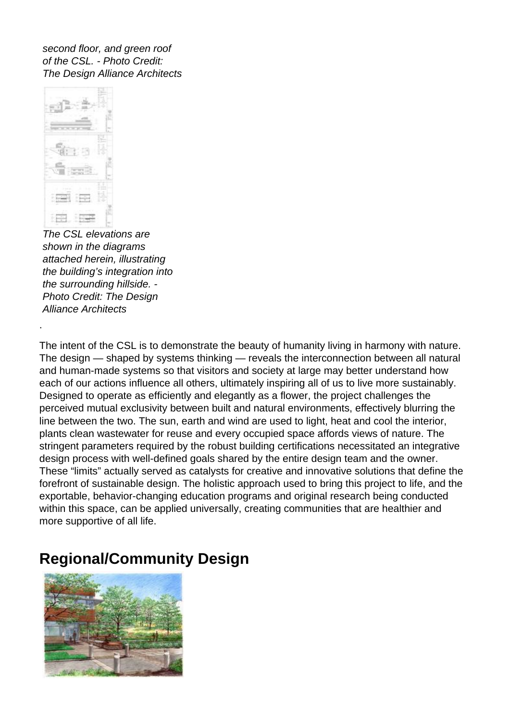second floor, and green roof of the CSL. - Photo Credit: The Design Alliance Architects



.

The CSL elevations are shown in the diagrams attached herein, illustrating the building's integration into the surrounding hillside. - Photo Credit: The Design Alliance Architects

The intent of the CSL is to demonstrate the beauty of humanity living in harmony with nature. The design — shaped by systems thinking — reveals the interconnection between all natural and human-made systems so that visitors and society at large may better understand how each of our actions influence all others, ultimately inspiring all of us to live more sustainably. Designed to operate as efficiently and elegantly as a flower, the project challenges the perceived mutual exclusivity between built and natural environments, effectively blurring the line between the two. The sun, earth and wind are used to light, heat and cool the interior, plants clean wastewater for reuse and every occupied space affords views of nature. The stringent parameters required by the robust building certifications necessitated an integrative design process with well-defined goals shared by the entire design team and the owner. These "limits" actually served as catalysts for creative and innovative solutions that define the forefront of sustainable design. The holistic approach used to bring this project to life, and the exportable, behavior-changing education programs and original research being conducted within this space, can be applied universally, creating communities that are healthier and more supportive of all life.

# **Regional/Community Design**

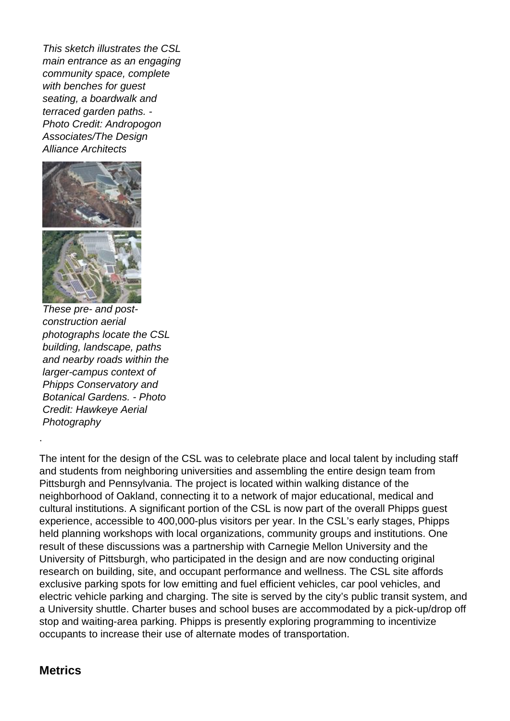This sketch illustrates the CSL main entrance as an engaging community space, complete with benches for guest seating, a boardwalk and terraced garden paths. - Photo Credit: Andropogon Associates/The Design Alliance Architects



These pre- and postconstruction aerial photographs locate the CSL building, landscape, paths and nearby roads within the larger-campus context of Phipps Conservatory and Botanical Gardens. - Photo Credit: Hawkeye Aerial **Photography** 

The intent for the design of the CSL was to celebrate place and local talent by including staff and students from neighboring universities and assembling the entire design team from Pittsburgh and Pennsylvania. The project is located within walking distance of the neighborhood of Oakland, connecting it to a network of major educational, medical and cultural institutions. A significant portion of the CSL is now part of the overall Phipps guest experience, accessible to 400,000-plus visitors per year. In the CSL's early stages, Phipps held planning workshops with local organizations, community groups and institutions. One result of these discussions was a partnership with Carnegie Mellon University and the University of Pittsburgh, who participated in the design and are now conducting original research on building, site, and occupant performance and wellness. The CSL site affords exclusive parking spots for low emitting and fuel efficient vehicles, car pool vehicles, and electric vehicle parking and charging. The site is served by the city's public transit system, and a University shuttle. Charter buses and school buses are accommodated by a pick-up/drop off stop and waiting-area parking. Phipps is presently exploring programming to incentivize occupants to increase their use of alternate modes of transportation.

### **Metrics**

.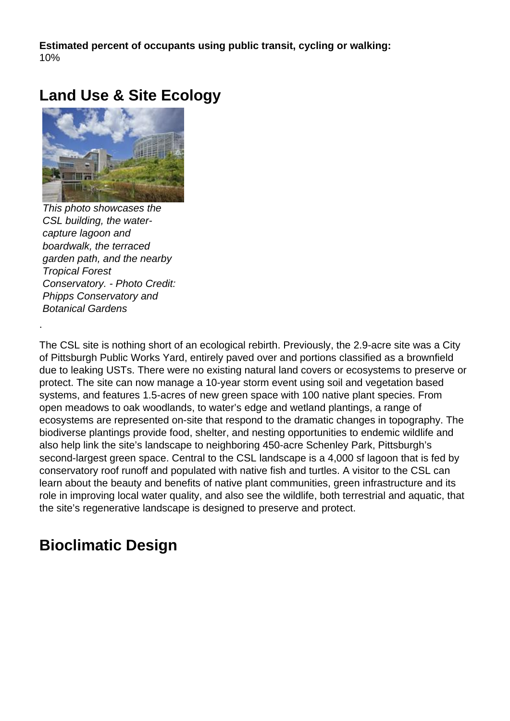**Estimated percent of occupants using public transit, cycling or walking:**  10%

# **Land Use & Site Ecology**



This photo showcases the CSL building, the watercapture lagoon and boardwalk, the terraced garden path, and the nearby Tropical Forest Conservatory. - Photo Credit: Phipps Conservatory and Botanical Gardens

.

The CSL site is nothing short of an ecological rebirth. Previously, the 2.9-acre site was a City of Pittsburgh Public Works Yard, entirely paved over and portions classified as a brownfield due to leaking USTs. There were no existing natural land covers or ecosystems to preserve or protect. The site can now manage a 10-year storm event using soil and vegetation based systems, and features 1.5-acres of new green space with 100 native plant species. From open meadows to oak woodlands, to water's edge and wetland plantings, a range of ecosystems are represented on-site that respond to the dramatic changes in topography. The biodiverse plantings provide food, shelter, and nesting opportunities to endemic wildlife and also help link the site's landscape to neighboring 450-acre Schenley Park, Pittsburgh's second-largest green space. Central to the CSL landscape is a 4,000 sf lagoon that is fed by conservatory roof runoff and populated with native fish and turtles. A visitor to the CSL can learn about the beauty and benefits of native plant communities, green infrastructure and its role in improving local water quality, and also see the wildlife, both terrestrial and aquatic, that the site's regenerative landscape is designed to preserve and protect.

# **Bioclimatic Design**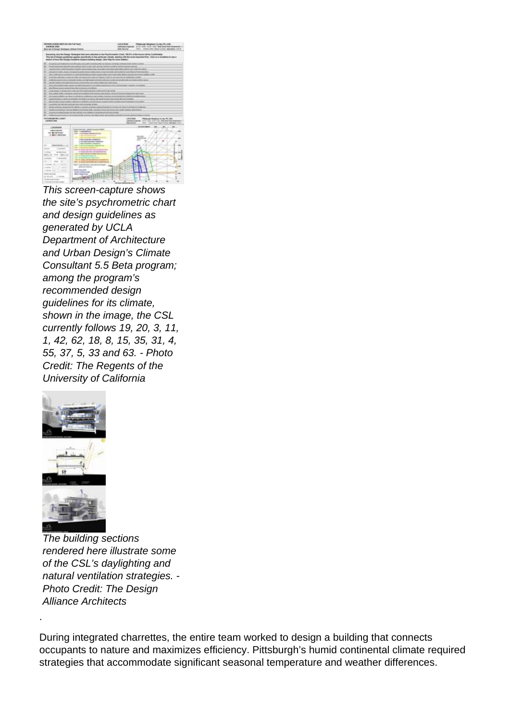

This screen-capture shows the site's psychrometric chart and design guidelines as generated by UCLA Department of Architecture and Urban Design's Climate Consultant 5.5 Beta program; among the program's recommended design guidelines for its climate, shown in the image, the CSL currently follows 19, 20, 3, 11, 1, 42, 62, 18, 8, 15, 35, 31, 4, 55, 37, 5, 33 and 63. - Photo Credit: The Regents of the University of California



.

The building sections rendered here illustrate some of the CSL's daylighting and natural ventilation strategies. - Photo Credit: The Design Alliance Architects

During integrated charrettes, the entire team worked to design a building that connects occupants to nature and maximizes efficiency. Pittsburgh's humid continental climate required strategies that accommodate significant seasonal temperature and weather differences.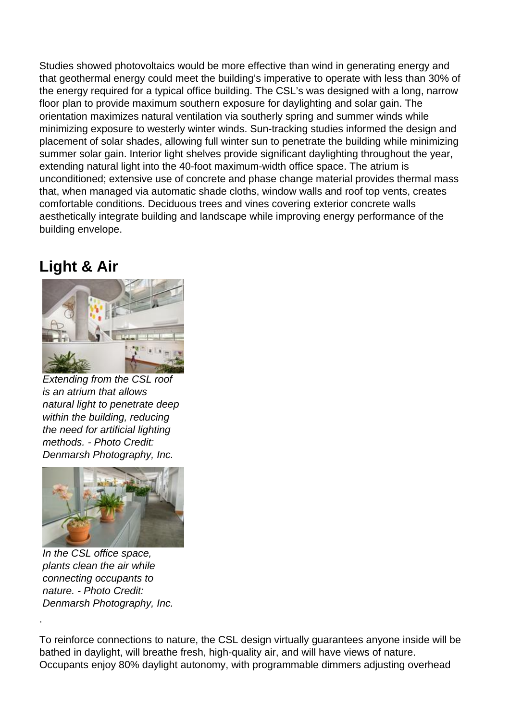Studies showed photovoltaics would be more effective than wind in generating energy and that geothermal energy could meet the building's imperative to operate with less than 30% of the energy required for a typical office building. The CSL's was designed with a long, narrow floor plan to provide maximum southern exposure for daylighting and solar gain. The orientation maximizes natural ventilation via southerly spring and summer winds while minimizing exposure to westerly winter winds. Sun-tracking studies informed the design and placement of solar shades, allowing full winter sun to penetrate the building while minimizing summer solar gain. Interior light shelves provide significant daylighting throughout the year, extending natural light into the 40-foot maximum-width office space. The atrium is unconditioned; extensive use of concrete and phase change material provides thermal mass that, when managed via automatic shade cloths, window walls and roof top vents, creates comfortable conditions. Deciduous trees and vines covering exterior concrete walls aesthetically integrate building and landscape while improving energy performance of the building envelope.

# **Light & Air**



Extending from the CSL roof is an atrium that allows natural light to penetrate deep within the building, reducing the need for artificial lighting methods. - Photo Credit: Denmarsh Photography, Inc.



In the CSL office space, plants clean the air while connecting occupants to nature. - Photo Credit: Denmarsh Photography, Inc.

.

To reinforce connections to nature, the CSL design virtually guarantees anyone inside will be bathed in daylight, will breathe fresh, high-quality air, and will have views of nature. Occupants enjoy 80% daylight autonomy, with programmable dimmers adjusting overhead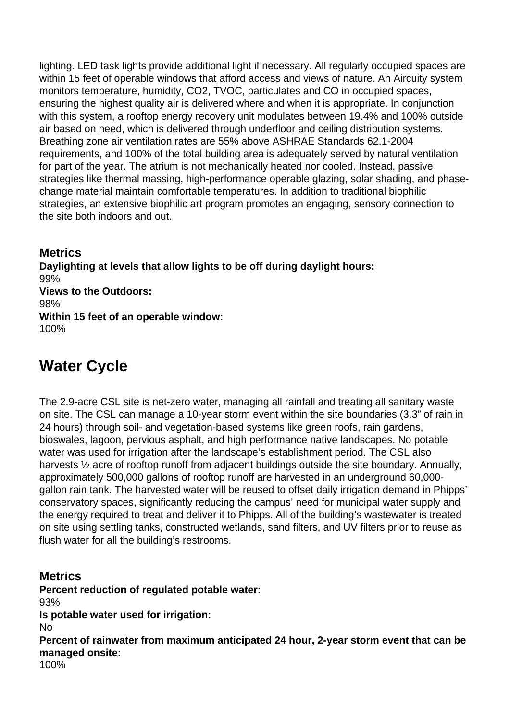lighting. LED task lights provide additional light if necessary. All regularly occupied spaces are within 15 feet of operable windows that afford access and views of nature. An Aircuity system monitors temperature, humidity, CO2, TVOC, particulates and CO in occupied spaces, ensuring the highest quality air is delivered where and when it is appropriate. In conjunction with this system, a rooftop energy recovery unit modulates between 19.4% and 100% outside air based on need, which is delivered through underfloor and ceiling distribution systems. Breathing zone air ventilation rates are 55% above ASHRAE Standards 62.1-2004 requirements, and 100% of the total building area is adequately served by natural ventilation for part of the year. The atrium is not mechanically heated nor cooled. Instead, passive strategies like thermal massing, high-performance operable glazing, solar shading, and phasechange material maintain comfortable temperatures. In addition to traditional biophilic strategies, an extensive biophilic art program promotes an engaging, sensory connection to the site both indoors and out.

**Metrics Daylighting at levels that allow lights to be off during daylight hours:**  99% **Views to the Outdoors:**  98% **Within 15 feet of an operable window:**  100%

# **Water Cycle**

The 2.9-acre CSL site is net-zero water, managing all rainfall and treating all sanitary waste on site. The CSL can manage a 10-year storm event within the site boundaries (3.3" of rain in 24 hours) through soil- and vegetation-based systems like green roofs, rain gardens, bioswales, lagoon, pervious asphalt, and high performance native landscapes. No potable water was used for irrigation after the landscape's establishment period. The CSL also harvests  $\frac{1}{2}$  acre of rooftop runoff from adjacent buildings outside the site boundary. Annually, approximately 500,000 gallons of rooftop runoff are harvested in an underground 60,000 gallon rain tank. The harvested water will be reused to offset daily irrigation demand in Phipps' conservatory spaces, significantly reducing the campus' need for municipal water supply and the energy required to treat and deliver it to Phipps. All of the building's wastewater is treated on site using settling tanks, constructed wetlands, sand filters, and UV filters prior to reuse as flush water for all the building's restrooms.

**Metrics Percent reduction of regulated potable water:**  93% **Is potable water used for irrigation:**  No **Percent of rainwater from maximum anticipated 24 hour, 2-year storm event that can be managed onsite:**  100%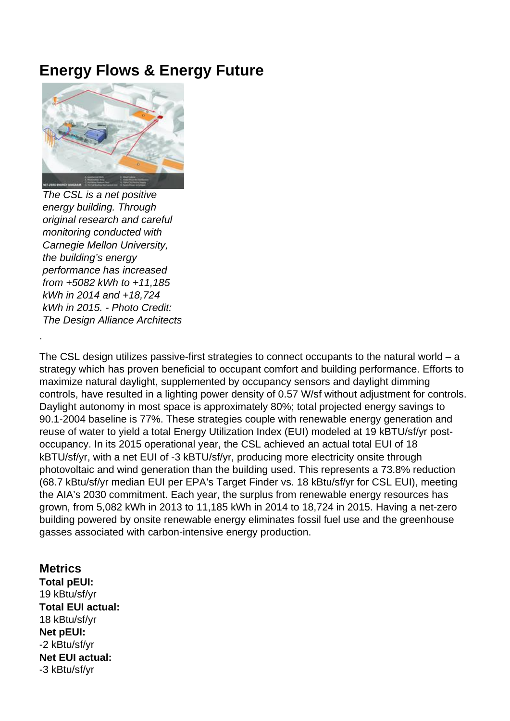## **Energy Flows & Energy Future**



The CSL is a net positive energy building. Through original research and careful monitoring conducted with Carnegie Mellon University, the building's energy performance has increased from +5082 kWh to +11,185 kWh in 2014 and +18,724 kWh in 2015. - Photo Credit: The Design Alliance Architects

.

The CSL design utilizes passive-first strategies to connect occupants to the natural world – a strategy which has proven beneficial to occupant comfort and building performance. Efforts to maximize natural daylight, supplemented by occupancy sensors and daylight dimming controls, have resulted in a lighting power density of 0.57 W/sf without adjustment for controls. Daylight autonomy in most space is approximately 80%; total projected energy savings to 90.1-2004 baseline is 77%. These strategies couple with renewable energy generation and reuse of water to yield a total Energy Utilization Index (EUI) modeled at 19 kBTU/sf/yr postoccupancy. In its 2015 operational year, the CSL achieved an actual total EUI of 18 kBTU/sf/yr, with a net EUI of -3 kBTU/sf/yr, producing more electricity onsite through photovoltaic and wind generation than the building used. This represents a 73.8% reduction (68.7 kBtu/sf/yr median EUI per EPA's Target Finder vs. 18 kBtu/sf/yr for CSL EUI), meeting the AIA's 2030 commitment. Each year, the surplus from renewable energy resources has grown, from 5,082 kWh in 2013 to 11,185 kWh in 2014 to 18,724 in 2015. Having a net-zero building powered by onsite renewable energy eliminates fossil fuel use and the greenhouse gasses associated with carbon-intensive energy production.

#### **Metrics Total pEUI:**  19 kBtu/sf/yr **Total EUI actual:**  18 kBtu/sf/yr **Net pEUI:**  -2 kBtu/sf/yr **Net EUI actual:**  -3 kBtu/sf/yr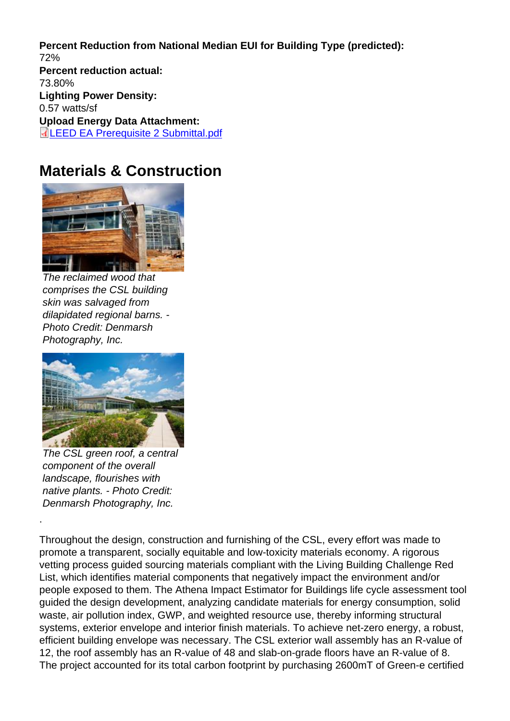Percent Reduction from National Median EUI for Building Type (predicted): 72% Percent reduction actual: 73.80% Lighting Power Density: 0.57 watts/sf Upload Energy Data Attachment: LEED EA Prerequisite 2 Submittal.pdf

### [Materials & Construction](http://submit.aiatopten.org/sites/default/files/LEED EA Prerequisite 2 Submittal_0.pdf)

The reclaimed wood that comprises the CSL building skin was salvaged from dilapidated regional barns. - Photo Credit: Denmarsh Photography, Inc.

The CSL green roof, a central component of the overall landscape, flourishes with native plants. - Photo Credit: Denmarsh Photography, Inc.

.

Throughout the design, construction and furnishing of the CSL, every effort was made to promote a transparent, socially equitable and low-toxicity materials economy. A rigorous vetting process guided sourcing materials compliant with the Living Building Challenge Red List, which identifies material components that negatively impact the environment and/or people exposed to them. The Athena Impact Estimator for Buildings life cycle assessment tool guided the design development, analyzing candidate materials for energy consumption, solid waste, air pollution index, GWP, and weighted resource use, thereby informing structural systems, exterior envelope and interior finish materials. To achieve net-zero energy, a robust, efficient building envelope was necessary. The CSL exterior wall assembly has an R-value of 12, the roof assembly has an R-value of 48 and slab-on-grade floors have an R-value of 8. The project accounted for its total carbon footprint by purchasing 2600mT of Green-e certified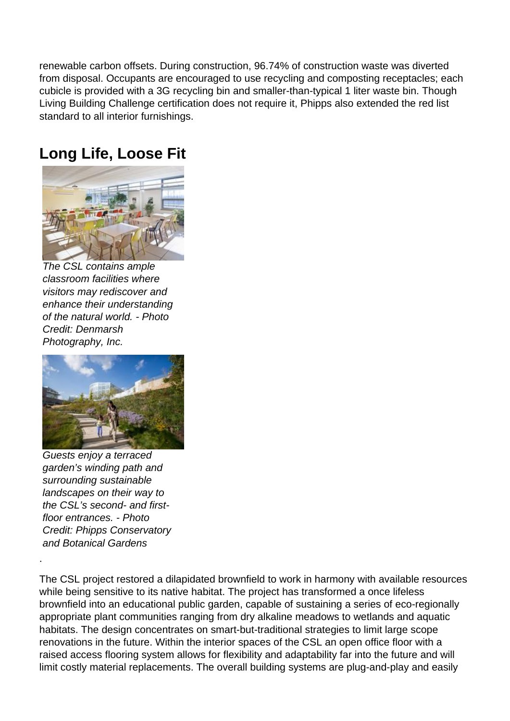renewable carbon offsets. During construction, 96.74% of construction waste was diverted from disposal. Occupants are encouraged to use recycling and composting receptacles; each cubicle is provided with a 3G recycling bin and smaller-than-typical 1 liter waste bin. Though Living Building Challenge certification does not require it, Phipps also extended the red list standard to all interior furnishings.

### **Long Life, Loose Fit**



The CSL contains ample classroom facilities where visitors may rediscover and enhance their understanding of the natural world. - Photo Credit: Denmarsh Photography, Inc.



Guests enjoy a terraced garden's winding path and surrounding sustainable landscapes on their way to the CSL's second- and firstfloor entrances. - Photo Credit: Phipps Conservatory and Botanical Gardens

.

The CSL project restored a dilapidated brownfield to work in harmony with available resources while being sensitive to its native habitat. The project has transformed a once lifeless brownfield into an educational public garden, capable of sustaining a series of eco-regionally appropriate plant communities ranging from dry alkaline meadows to wetlands and aquatic habitats. The design concentrates on smart-but-traditional strategies to limit large scope renovations in the future. Within the interior spaces of the CSL an open office floor with a raised access flooring system allows for flexibility and adaptability far into the future and will limit costly material replacements. The overall building systems are plug-and-play and easily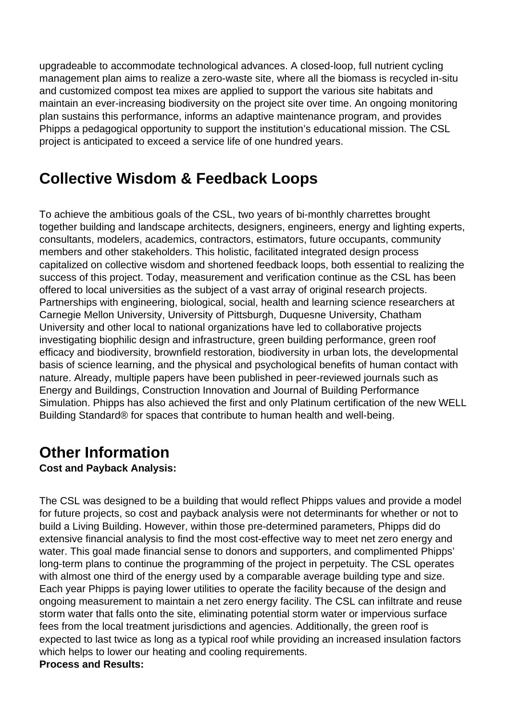upgradeable to accommodate technological advances. A closed-loop, full nutrient cycling management plan aims to realize a zero-waste site, where all the biomass is recycled in-situ and customized compost tea mixes are applied to support the various site habitats and maintain an ever-increasing biodiversity on the project site over time. An ongoing monitoring plan sustains this performance, informs an adaptive maintenance program, and provides Phipps a pedagogical opportunity to support the institution's educational mission. The CSL project is anticipated to exceed a service life of one hundred years.

## **Collective Wisdom & Feedback Loops**

To achieve the ambitious goals of the CSL, two years of bi-monthly charrettes brought together building and landscape architects, designers, engineers, energy and lighting experts, consultants, modelers, academics, contractors, estimators, future occupants, community members and other stakeholders. This holistic, facilitated integrated design process capitalized on collective wisdom and shortened feedback loops, both essential to realizing the success of this project. Today, measurement and verification continue as the CSL has been offered to local universities as the subject of a vast array of original research projects. Partnerships with engineering, biological, social, health and learning science researchers at Carnegie Mellon University, University of Pittsburgh, Duquesne University, Chatham University and other local to national organizations have led to collaborative projects investigating biophilic design and infrastructure, green building performance, green roof efficacy and biodiversity, brownfield restoration, biodiversity in urban lots, the developmental basis of science learning, and the physical and psychological benefits of human contact with nature. Already, multiple papers have been published in peer-reviewed journals such as Energy and Buildings, Construction Innovation and Journal of Building Performance Simulation. Phipps has also achieved the first and only Platinum certification of the new WELL Building Standard® for spaces that contribute to human health and well-being.

## **Other Information**

### **Cost and Payback Analysis:**

The CSL was designed to be a building that would reflect Phipps values and provide a model for future projects, so cost and payback analysis were not determinants for whether or not to build a Living Building. However, within those pre-determined parameters, Phipps did do extensive financial analysis to find the most cost-effective way to meet net zero energy and water. This goal made financial sense to donors and supporters, and complimented Phipps' long-term plans to continue the programming of the project in perpetuity. The CSL operates with almost one third of the energy used by a comparable average building type and size. Each year Phipps is paying lower utilities to operate the facility because of the design and ongoing measurement to maintain a net zero energy facility. The CSL can infiltrate and reuse storm water that falls onto the site, eliminating potential storm water or impervious surface fees from the local treatment jurisdictions and agencies. Additionally, the green roof is expected to last twice as long as a typical roof while providing an increased insulation factors which helps to lower our heating and cooling requirements. **Process and Results:**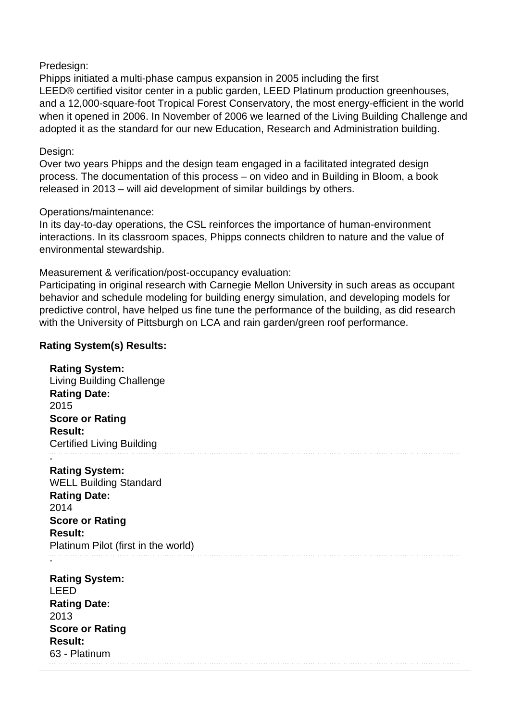#### Predesign:

Phipps initiated a multi-phase campus expansion in 2005 including the first LEED® certified visitor center in a public garden, LEED Platinum production greenhouses, and a 12,000-square-foot Tropical Forest Conservatory, the most energy-efficient in the world when it opened in 2006. In November of 2006 we learned of the Living Building Challenge and adopted it as the standard for our new Education, Research and Administration building.

#### Design:

Over two years Phipps and the design team engaged in a facilitated integrated design process. The documentation of this process – on video and in Building in Bloom, a book released in 2013 – will aid development of similar buildings by others.

#### Operations/maintenance:

In its day-to-day operations, the CSL reinforces the importance of human-environment interactions. In its classroom spaces, Phipps connects children to nature and the value of environmental stewardship.

#### Measurement & verification/post-occupancy evaluation:

Participating in original research with Carnegie Mellon University in such areas as occupant behavior and schedule modeling for building energy simulation, and developing models for predictive control, have helped us fine tune the performance of the building, as did research with the University of Pittsburgh on LCA and rain garden/green roof performance.

#### **Rating System(s) Results:**

#### **Rating System:**

Living Building Challenge **Rating Date:**  2015 **Score or Rating Result:**  Certified Living Building .

#### **Rating System:**

WELL Building Standard **Rating Date:**  2014 **Score or Rating Result:**  Platinum Pilot (first in the world)

**Rating System:**  LEED **Rating Date:**  2013 **Score or Rating Result:**  63 - Platinum

.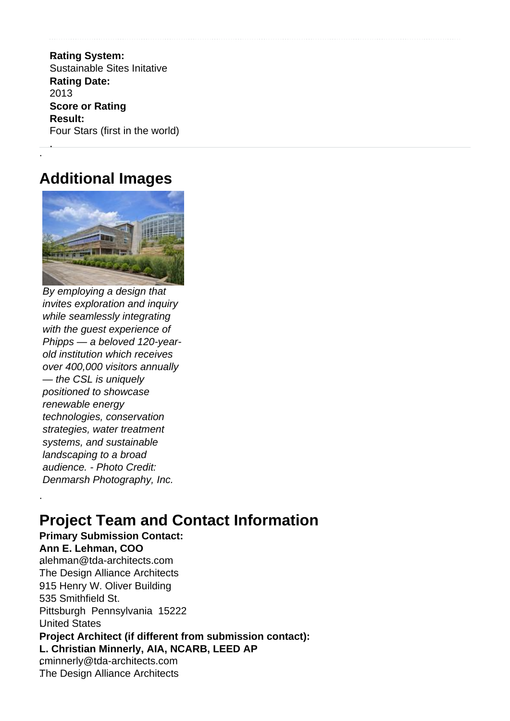.**Rating System:** . Sustainable Sites Initative **Rating Date:**  2013 **Score or Rating Result:**  Four Stars (first in the world)

### **Additional Images**

. .

.



By employing a design that invites exploration and inquiry while seamlessly integrating with the guest experience of Phipps — a beloved 120-yearold institution which receives over 400,000 visitors annually — the CSL is uniquely positioned to showcase renewable energy technologies, conservation strategies, water treatment systems, and sustainable landscaping to a broad audience. - Photo Credit: Denmarsh Photography, Inc.

# **Project Team and Contact Information**

**Primary Submission Contact: Ann E. Lehman, COO .**alehman@tda-architects.com .The Design Alliance Architects **.**915 Henry W. Oliver Building 535 Smithfield St. Pittsburgh Pennsylvania 15222 .United States **Project Architect (if different from submission contact): L. Christian Minnerly, AIA, NCARB, LEED AP .**cminnerly@tda-architects.com .The Design Alliance Architects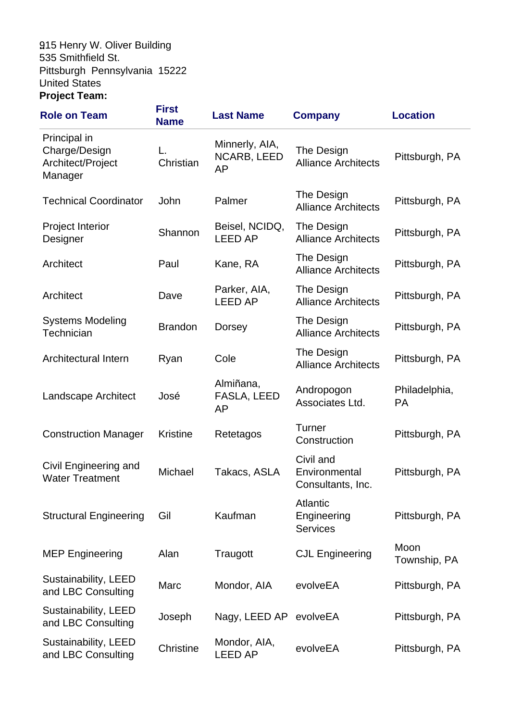### **.**915 Henry W. Oliver Building **.** 535 Smithfield St. Pittsburgh Pennsylvania 15222 .United States **Project Team:**

| <b>Role on Team</b>                                           | <b>First</b><br><b>Name</b> | <b>Last Name</b>                                  | <b>Company</b>                                    | <b>Location</b>            |
|---------------------------------------------------------------|-----------------------------|---------------------------------------------------|---------------------------------------------------|----------------------------|
| Principal in<br>Charge/Design<br>Architect/Project<br>Manager | Christian                   | Minnerly, AIA,<br><b>NCARB, LEED</b><br><b>AP</b> | The Design<br><b>Alliance Architects</b>          | Pittsburgh, PA             |
| <b>Technical Coordinator</b>                                  | John                        | Palmer                                            | The Design<br><b>Alliance Architects</b>          | Pittsburgh, PA             |
| <b>Project Interior</b><br>Designer                           | Shannon                     | Beisel, NCIDQ,<br><b>LEED AP</b>                  | The Design<br><b>Alliance Architects</b>          | Pittsburgh, PA             |
| Architect                                                     | Paul                        | Kane, RA                                          | The Design<br><b>Alliance Architects</b>          | Pittsburgh, PA             |
| Architect                                                     | Dave                        | Parker, AIA,<br><b>LEED AP</b>                    | The Design<br><b>Alliance Architects</b>          | Pittsburgh, PA             |
| <b>Systems Modeling</b><br>Technician                         | <b>Brandon</b>              | <b>Dorsey</b>                                     | The Design<br><b>Alliance Architects</b>          | Pittsburgh, PA             |
| Architectural Intern                                          | Ryan                        | Cole                                              | The Design<br><b>Alliance Architects</b>          | Pittsburgh, PA             |
| Landscape Architect                                           | José                        | Almiñana,<br>FASLA, LEED<br>AP                    | Andropogon<br>Associates Ltd.                     | Philadelphia,<br><b>PA</b> |
| <b>Construction Manager</b>                                   | <b>Kristine</b>             | Retetagos                                         | <b>Turner</b><br>Construction                     | Pittsburgh, PA             |
| Civil Engineering and<br><b>Water Treatment</b>               | Michael                     | Takacs, ASLA                                      | Civil and<br>Environmental<br>Consultants, Inc.   | Pittsburgh, PA             |
| <b>Structural Engineering</b>                                 | Gil                         | Kaufman                                           | <b>Atlantic</b><br>Engineering<br><b>Services</b> | Pittsburgh, PA             |
| <b>MEP Engineering</b>                                        | Alan                        | Traugott                                          | <b>CJL Engineering</b>                            | Moon<br>Township, PA       |
| Sustainability, LEED<br>and LBC Consulting                    | Marc                        | Mondor, AIA                                       | evolveEA                                          | Pittsburgh, PA             |
| Sustainability, LEED<br>and LBC Consulting                    | Joseph                      | Nagy, LEED AP                                     | evolveEA                                          | Pittsburgh, PA             |
| Sustainability, LEED<br>and LBC Consulting                    | Christine                   | Mondor, AIA,<br><b>LEED AP</b>                    | evolveEA                                          | Pittsburgh, PA             |